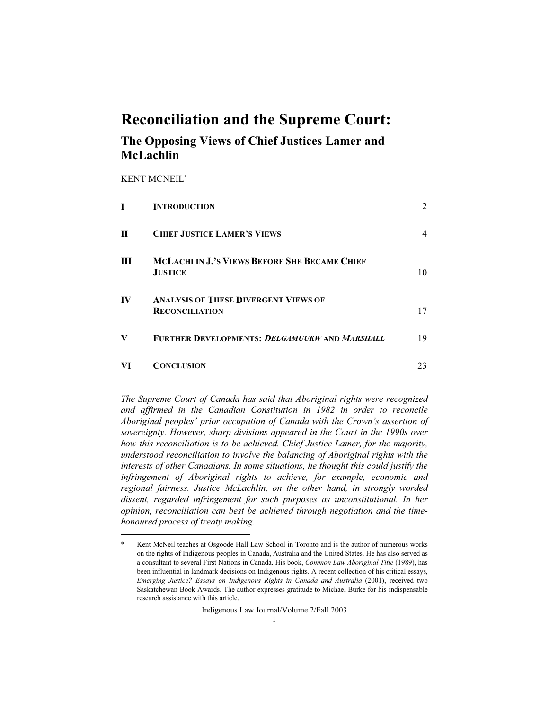# **Reconciliation and the Supreme Court:**

# **The Opposing Views of Chief Justices Lamer and McLachlin**

KENT MCNEIL\*

|             | <b>INTRODUCTION</b>                                                   | $\overline{2}$ |
|-------------|-----------------------------------------------------------------------|----------------|
| $\mathbf H$ | <b>CHIEF JUSTICE LAMER'S VIEWS</b>                                    | 4              |
| Ш           | <b>MCLACHLIN J.'S VIEWS BEFORE SHE BECAME CHIEF</b><br><b>JUSTICE</b> | 10             |
| IV          | <b>ANALYSIS OF THESE DIVERGENT VIEWS OF</b><br><b>RECONCILIATION</b>  | 17             |
| V           | <b>FURTHER DEVELOPMENTS: DELGAMUUKW AND MARSHALL</b>                  | 19             |
| VI          | <b>CONCLUSION</b>                                                     | 23             |

*The Supreme Court of Canada has said that Aboriginal rights were recognized and affirmed in the Canadian Constitution in 1982 in order to reconcile Aboriginal peoples' prior occupation of Canada with the Crown's assertion of sovereignty. However, sharp divisions appeared in the Court in the 1990s over how this reconciliation is to be achieved. Chief Justice Lamer, for the majority, understood reconciliation to involve the balancing of Aboriginal rights with the interests of other Canadians. In some situations, he thought this could justify the infringement of Aboriginal rights to achieve, for example, economic and regional fairness. Justice McLachlin, on the other hand, in strongly worded dissent, regarded infringement for such purposes as unconstitutional. In her opinion, reconciliation can best be achieved through negotiation and the timehonoured process of treaty making.*

Indigenous Law Journal/Volume 2/Fall 2003

Kent McNeil teaches at Osgoode Hall Law School in Toronto and is the author of numerous works on the rights of Indigenous peoples in Canada, Australia and the United States. He has also served as a consultant to several First Nations in Canada. His book, *Common Law Aboriginal Title* (1989), has been influential in landmark decisions on Indigenous rights. A recent collection of his critical essays, *Emerging Justice? Essays on Indigenous Rights in Canada and Australia* (2001), received two Saskatchewan Book Awards. The author expresses gratitude to Michael Burke for his indispensable research assistance with this article.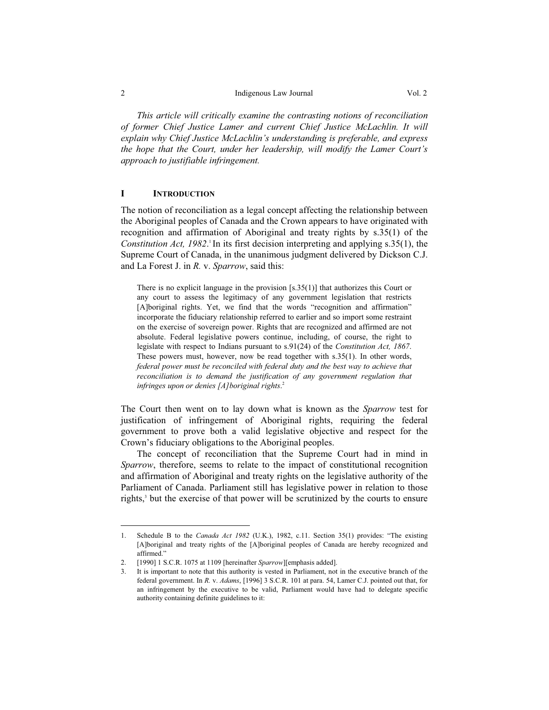#### 2 **Indigenous Law Journal** Vol. 2

 *This article will critically examine the contrasting notions of reconciliation of former Chief Justice Lamer and current Chief Justice McLachlin. It will explain why Chief Justice McLachlin's understanding is preferable, and express the hope that the Court, under her leadership, will modify the Lamer Court's approach to justifiable infringement.* 

# **I INTRODUCTION**

The notion of reconciliation as a legal concept affecting the relationship between the Aboriginal peoples of Canada and the Crown appears to have originated with recognition and affirmation of Aboriginal and treaty rights by s.35(1) of the *Constitution Act, 1982*.<sup>1</sup> In its first decision interpreting and applying s.35(1), the Supreme Court of Canada, in the unanimous judgment delivered by Dickson C.J. and La Forest J. in *R.* v. *Sparrow*, said this:

There is no explicit language in the provision [s.35(1)] that authorizes this Court or any court to assess the legitimacy of any government legislation that restricts [A]boriginal rights. Yet, we find that the words "recognition and affirmation" incorporate the fiduciary relationship referred to earlier and so import some restraint on the exercise of sovereign power. Rights that are recognized and affirmed are not absolute. Federal legislative powers continue, including, of course, the right to legislate with respect to Indians pursuant to s.91(24) of the *Constitution Act, 1867*. These powers must, however, now be read together with s.35(1). In other words, *federal power must be reconciled with federal duty and the best way to achieve that reconciliation is to demand the justification of any government regulation that infringes upon or denies [A]boriginal rights*. 2

The Court then went on to lay down what is known as the *Sparrow* test for justification of infringement of Aboriginal rights, requiring the federal government to prove both a valid legislative objective and respect for the Crown's fiduciary obligations to the Aboriginal peoples.

 The concept of reconciliation that the Supreme Court had in mind in *Sparrow*, therefore, seems to relate to the impact of constitutional recognition and affirmation of Aboriginal and treaty rights on the legislative authority of the Parliament of Canada. Parliament still has legislative power in relation to those rights,<sup>3</sup> but the exercise of that power will be scrutinized by the courts to ensure

<sup>1.</sup> Schedule B to the *Canada Act 1982* (U.K.), 1982, c.11. Section 35(1) provides: "The existing [A]boriginal and treaty rights of the [A]boriginal peoples of Canada are hereby recognized and affirmed."

<sup>2. [1990] 1</sup> S.C.R. 1075 at 1109 [hereinafter *Sparrow*][emphasis added].

<sup>3.</sup> It is important to note that this authority is vested in Parliament, not in the executive branch of the federal government. In *R.* v. *Adams*, [1996] 3 S.C.R. 101 at para. 54, Lamer C.J. pointed out that, for an infringement by the executive to be valid, Parliament would have had to delegate specific authority containing definite guidelines to it: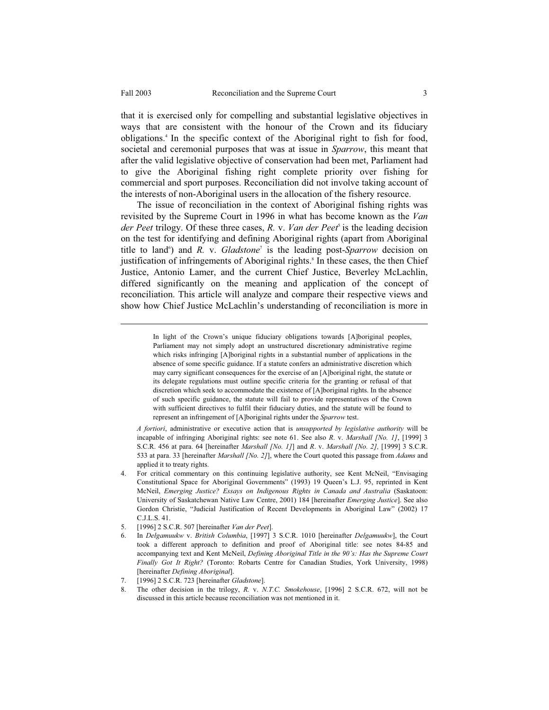-

that it is exercised only for compelling and substantial legislative objectives in ways that are consistent with the honour of the Crown and its fiduciary obligations.4 In the specific context of the Aboriginal right to fish for food, societal and ceremonial purposes that was at issue in *Sparrow*, this meant that after the valid legislative objective of conservation had been met, Parliament had to give the Aboriginal fishing right complete priority over fishing for commercial and sport purposes. Reconciliation did not involve taking account of the interests of non-Aboriginal users in the allocation of the fishery resource.

 The issue of reconciliation in the context of Aboriginal fishing rights was revisited by the Supreme Court in 1996 in what has become known as the *Van der Peet* trilogy. Of these three cases, *R.* v. *Van der Peet*<sup>5</sup> is the leading decision on the test for identifying and defining Aboriginal rights (apart from Aboriginal title to land<sup>6</sup>) and *R.* v. *Gladstone*<sup>7</sup> is the leading post-*Sparrow* decision on justification of infringements of Aboriginal rights.<sup>8</sup> In these cases, the then Chief Justice, Antonio Lamer, and the current Chief Justice, Beverley McLachlin, differed significantly on the meaning and application of the concept of reconciliation. This article will analyze and compare their respective views and show how Chief Justice McLachlin's understanding of reconciliation is more in

> In light of the Crown's unique fiduciary obligations towards [A]boriginal peoples, Parliament may not simply adopt an unstructured discretionary administrative regime which risks infringing [A]boriginal rights in a substantial number of applications in the absence of some specific guidance. If a statute confers an administrative discretion which may carry significant consequences for the exercise of an [A]boriginal right, the statute or its delegate regulations must outline specific criteria for the granting or refusal of that discretion which seek to accommodate the existence of [A]boriginal rights. In the absence of such specific guidance, the statute will fail to provide representatives of the Crown with sufficient directives to fulfil their fiduciary duties, and the statute will be found to represent an infringement of [A]boriginal rights under the *Sparrow* test.

 *A fortiori*, administrative or executive action that is *unsupported by legislative authority* will be incapable of infringing Aboriginal rights: see note 61. See also *R*. v. *Marshall [No. 1]*, [1999] 3 S.C.R. 456 at para. 64 [hereinafter *Marshall [No. 1]*] and *R*. v. *Marshall [No. 2],* [1999] 3 S.C.R. 533 at para. 33 [hereinafter *Marshall [No. 2]*], where the Court quoted this passage from *Adams* and applied it to treaty rights.

- 4. For critical commentary on this continuing legislative authority, see Kent McNeil, "Envisaging Constitutional Space for Aboriginal Governments" (1993) 19 Queen's L.J. 95, reprinted in Kent McNeil, *Emerging Justice? Essays on Indigenous Rights in Canada and Australia* (Saskatoon: University of Saskatchewan Native Law Centre, 2001) 184 [hereinafter *Emerging Justice*]. See also Gordon Christie, "Judicial Justification of Recent Developments in Aboriginal Law" (2002) 17 C.J.L.S. 41.
- 5. [1996] 2 S.C.R. 507 [hereinafter *Van der Peet*].
- 6. In *Delgamuukw* v. *British Columbia*, [1997] 3 S.C.R. 1010 [hereinafter *Delgamuukw*], the Court took a different approach to definition and proof of Aboriginal title: see notes 84-85 and accompanying text and Kent McNeil, *Defining Aboriginal Title in the 90's: Has the Supreme Court Finally Got It Right?* (Toronto: Robarts Centre for Canadian Studies, York University, 1998) [hereinafter *Defining Aboriginal*].
- 7. [1996] 2 S.C.R. 723 [hereinafter *Gladstone*].
- 8. The other decision in the trilogy, *R.* v. *N.T.C. Smokehouse*, [1996] 2 S.C.R. 672, will not be discussed in this article because reconciliation was not mentioned in it.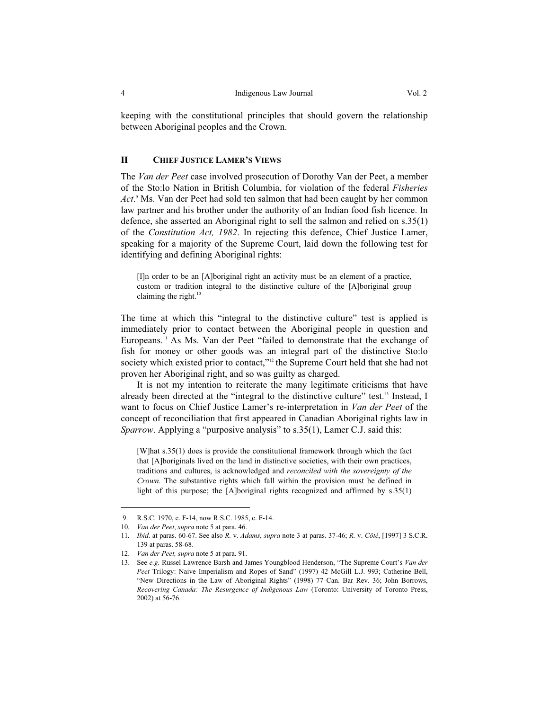keeping with the constitutional principles that should govern the relationship between Aboriginal peoples and the Crown.

#### **II CHIEF JUSTICE LAMER'S VIEWS**

The *Van der Peet* case involved prosecution of Dorothy Van der Peet, a member of the Sto:lo Nation in British Columbia, for violation of the federal *Fisheries Act*. 9 Ms. Van der Peet had sold ten salmon that had been caught by her common law partner and his brother under the authority of an Indian food fish licence. In defence, she asserted an Aboriginal right to sell the salmon and relied on s.35(1) of the *Constitution Act, 1982*. In rejecting this defence, Chief Justice Lamer, speaking for a majority of the Supreme Court, laid down the following test for identifying and defining Aboriginal rights:

[I]n order to be an [A]boriginal right an activity must be an element of a practice, custom or tradition integral to the distinctive culture of the [A]boriginal group claiming the right. $10$ 

The time at which this "integral to the distinctive culture" test is applied is immediately prior to contact between the Aboriginal people in question and Europeans.11 As Ms. Van der Peet "failed to demonstrate that the exchange of fish for money or other goods was an integral part of the distinctive Sto:lo society which existed prior to contact,"<sup>12</sup> the Supreme Court held that she had not proven her Aboriginal right, and so was guilty as charged.

 It is not my intention to reiterate the many legitimate criticisms that have already been directed at the "integral to the distinctive culture" test.13 Instead, I want to focus on Chief Justice Lamer's re-interpretation in *Van der Peet* of the concept of reconciliation that first appeared in Canadian Aboriginal rights law in *Sparrow.* Applying a "purposive analysis" to s.35(1), Lamer C.J. said this:

[W]hat s.35(1) does is provide the constitutional framework through which the fact that [A]boriginals lived on the land in distinctive societies, with their own practices, traditions and cultures, is acknowledged and *reconciled with the sovereignty of the Crown*. The substantive rights which fall within the provision must be defined in light of this purpose; the [A]boriginal rights recognized and affirmed by s.35(1)

 <sup>9.</sup> R.S.C. 1970, c. F-14, now R.S.C. 1985, c. F-14.

<sup>10</sup>*. Van der Peet*, *supra* note 5 at para. 46.

<sup>11</sup>*. Ibid*. at paras. 60-67. See also *R.* v. *Adams*, *supra* note 3 at paras. 37-46; *R.* v. *Côté*, [1997] 3 S.C.R. 139 at paras. 58-68.

<sup>12.</sup> *Van der Peet, supra* note 5 at para. 91.

<sup>13.</sup> See *e.g.* Russel Lawrence Barsh and James Youngblood Henderson, "The Supreme Court's *Van der Peet* Trilogy: Naive Imperialism and Ropes of Sand" (1997) 42 McGill L.J. 993; Catherine Bell, "New Directions in the Law of Aboriginal Rights" (1998) 77 Can. Bar Rev. 36; John Borrows, *Recovering Canada: The Resurgence of Indigenous Law* (Toronto: University of Toronto Press, 2002) at 56-76.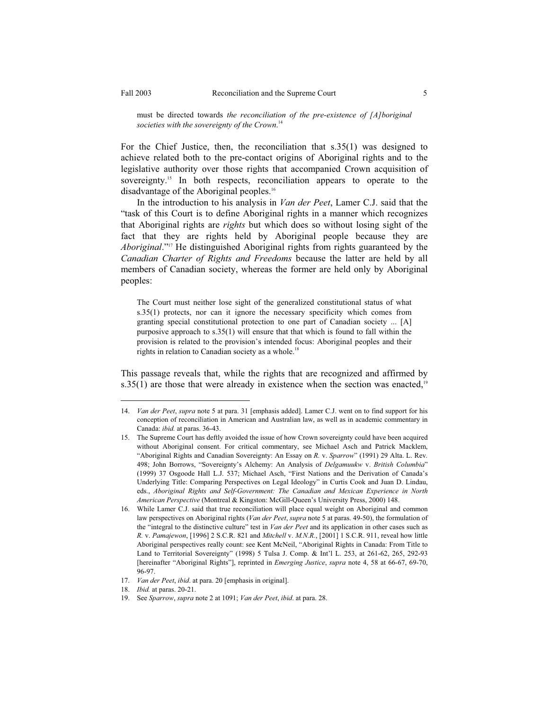For the Chief Justice, then, the reconciliation that s.35(1) was designed to achieve related both to the pre-contact origins of Aboriginal rights and to the legislative authority over those rights that accompanied Crown acquisition of sovereignty.<sup>15</sup> In both respects, reconciliation appears to operate to the disadvantage of the Aboriginal peoples.<sup>16</sup>

 In the introduction to his analysis in *Van der Peet*, Lamer C.J. said that the "task of this Court is to define Aboriginal rights in a manner which recognizes that Aboriginal rights are *rights* but which does so without losing sight of the fact that they are rights held by Aboriginal people because they are *Aboriginal*."17 He distinguished Aboriginal rights from rights guaranteed by the *Canadian Charter of Rights and Freedoms* because the latter are held by all members of Canadian society, whereas the former are held only by Aboriginal peoples:

The Court must neither lose sight of the generalized constitutional status of what s.35(1) protects, nor can it ignore the necessary specificity which comes from granting special constitutional protection to one part of Canadian society ... [A] purposive approach to s.35(1) will ensure that that which is found to fall within the provision is related to the provision's intended focus: Aboriginal peoples and their rights in relation to Canadian society as a whole.<sup>18</sup>

This passage reveals that, while the rights that are recognized and affirmed by s.35(1) are those that were already in existence when the section was enacted, $19$ 

<sup>14.</sup> *Van der Peet*, *supra* note 5 at para. 31 [emphasis added]. Lamer C.J. went on to find support for his conception of reconciliation in American and Australian law, as well as in academic commentary in Canada: *ibid.* at paras. 36-43.

<sup>15.</sup> The Supreme Court has deftly avoided the issue of how Crown sovereignty could have been acquired without Aboriginal consent. For critical commentary, see Michael Asch and Patrick Macklem, "Aboriginal Rights and Canadian Sovereignty: An Essay on *R.* v. *Sparrow*" (1991) 29 Alta. L. Rev*.* 498; John Borrows, "Sovereignty's Alchemy: An Analysis of *Delgamuukw* v. *British Columbia*" (1999) 37 Osgoode Hall L.J. 537; Michael Asch, "First Nations and the Derivation of Canada's Underlying Title: Comparing Perspectives on Legal Ideology" in Curtis Cook and Juan D. Lindau, eds., *Aboriginal Rights and Self-Government: The Canadian and Mexican Experience in North American Perspective* (Montreal & Kingston: McGill-Queen's University Press, 2000) 148.

<sup>16.</sup> While Lamer C.J. said that true reconciliation will place equal weight on Aboriginal and common law perspectives on Aboriginal rights (*Van der Peet*, *supra* note 5 at paras. 49-50), the formulation of the "integral to the distinctive culture" test in *Van der Peet* and its application in other cases such as *R.* v. *Pamajewon*, [1996] 2 S.C.R. 821 and *Mitchell* v. *M.N.R.*, [2001] 1 S.C.R. 911, reveal how little Aboriginal perspectives really count: see Kent McNeil, "Aboriginal Rights in Canada: From Title to Land to Territorial Sovereignty" (1998) 5 Tulsa J. Comp. & Int'l L. 253, at 261-62, 265, 292-93 [hereinafter "Aboriginal Rights"], reprinted in *Emerging Justice*, *supra* note 4, 58 at 66-67, 69-70, 96-97.

<sup>17.</sup> *Van der Peet*, *ibid*. at para. 20 [emphasis in original].

<sup>18.</sup> *Ibid.* at paras. 20-21.

<sup>19.</sup> See *Sparrow*, *supra* note 2 at 1091; *Van der Peet*, *ibid*. at para. 28.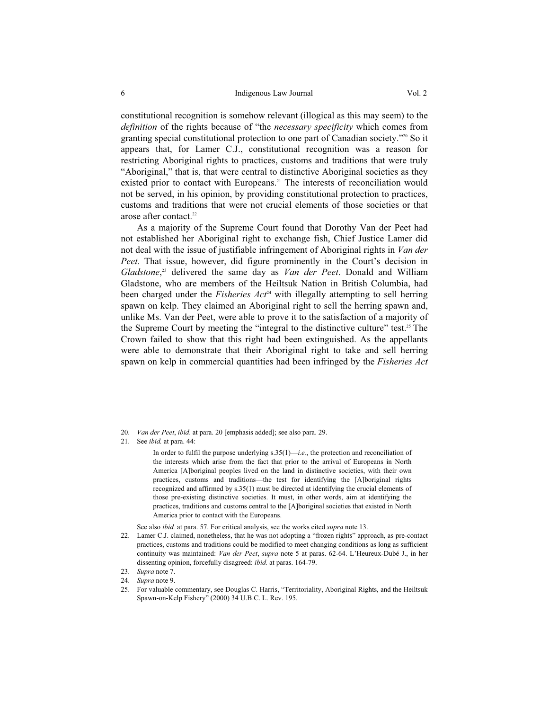constitutional recognition is somehow relevant (illogical as this may seem) to the *definition* of the rights because of "the *necessary specificity* which comes from granting special constitutional protection to one part of Canadian society."20 So it appears that, for Lamer C.J., constitutional recognition was a reason for restricting Aboriginal rights to practices, customs and traditions that were truly "Aboriginal," that is, that were central to distinctive Aboriginal societies as they existed prior to contact with Europeans.<sup>21</sup> The interests of reconciliation would not be served, in his opinion, by providing constitutional protection to practices, customs and traditions that were not crucial elements of those societies or that arose after contact.<sup>22</sup>

 As a majority of the Supreme Court found that Dorothy Van der Peet had not established her Aboriginal right to exchange fish, Chief Justice Lamer did not deal with the issue of justifiable infringement of Aboriginal rights in *Van der Peet*. That issue, however, did figure prominently in the Court's decision in *Gladstone*, 23 delivered the same day as *Van der Peet*. Donald and William Gladstone, who are members of the Heiltsuk Nation in British Columbia, had been charged under the *Fisheries Act<sup>24</sup>* with illegally attempting to sell herring spawn on kelp. They claimed an Aboriginal right to sell the herring spawn and, unlike Ms. Van der Peet, were able to prove it to the satisfaction of a majority of the Supreme Court by meeting the "integral to the distinctive culture" test.<sup>25</sup> The Crown failed to show that this right had been extinguished. As the appellants were able to demonstrate that their Aboriginal right to take and sell herring spawn on kelp in commercial quantities had been infringed by the *Fisheries Act*

- 23. *Supra* note 7.
- 24. *Supra* note 9.

<sup>20.</sup> *Van der Peet*, *ibid*. at para. 20 [emphasis added]; see also para. 29.

<sup>21.</sup> See *ibid.* at para. 44:

In order to fulfil the purpose underlying s.35(1)—*i.e.*, the protection and reconciliation of the interests which arise from the fact that prior to the arrival of Europeans in North America [A]boriginal peoples lived on the land in distinctive societies, with their own practices, customs and traditions—the test for identifying the [A]boriginal rights recognized and affirmed by s.35(1) must be directed at identifying the crucial elements of those pre-existing distinctive societies. It must, in other words, aim at identifying the practices, traditions and customs central to the [A]boriginal societies that existed in North America prior to contact with the Europeans.

See also *ibid.* at para. 57. For critical analysis, see the works cited *supra* note 13.

<sup>22.</sup> Lamer C.J. claimed, nonetheless, that he was not adopting a "frozen rights" approach, as pre-contact practices, customs and traditions could be modified to meet changing conditions as long as sufficient continuity was maintained: *Van der Peet*, *supra* note 5 at paras. 62-64. L'Heureux-Dubé J., in her dissenting opinion, forcefully disagreed: *ibid.* at paras. 164-79.

<sup>25.</sup> For valuable commentary, see Douglas C. Harris, "Territoriality, Aboriginal Rights, and the Heiltsuk Spawn-on-Kelp Fishery" (2000) 34 U.B.C. L. Rev. 195.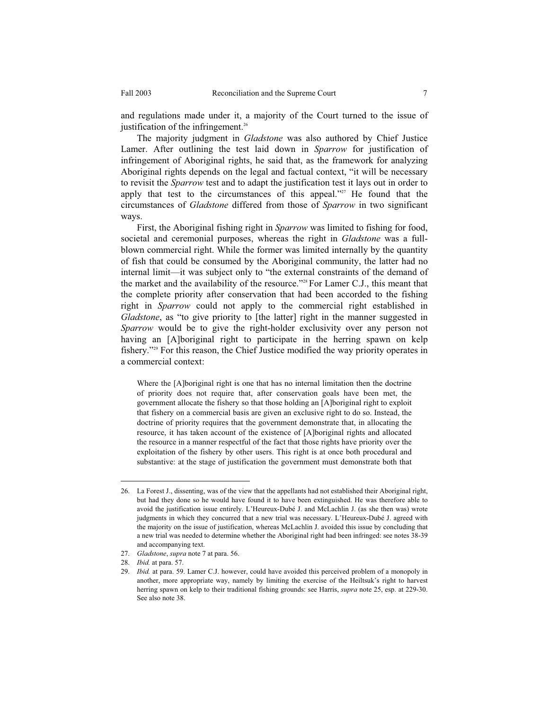and regulations made under it, a majority of the Court turned to the issue of justification of the infringement.<sup>26</sup>

 The majority judgment in *Gladstone* was also authored by Chief Justice Lamer. After outlining the test laid down in *Sparrow* for justification of infringement of Aboriginal rights, he said that, as the framework for analyzing Aboriginal rights depends on the legal and factual context, "it will be necessary to revisit the *Sparrow* test and to adapt the justification test it lays out in order to apply that test to the circumstances of this appeal."27 He found that the circumstances of *Gladstone* differed from those of *Sparrow* in two significant ways.

 First, the Aboriginal fishing right in *Sparrow* was limited to fishing for food, societal and ceremonial purposes, whereas the right in *Gladstone* was a fullblown commercial right. While the former was limited internally by the quantity of fish that could be consumed by the Aboriginal community, the latter had no internal limit—it was subject only to "the external constraints of the demand of the market and the availability of the resource."28 For Lamer C.J., this meant that the complete priority after conservation that had been accorded to the fishing right in *Sparrow* could not apply to the commercial right established in *Gladstone*, as "to give priority to [the latter] right in the manner suggested in *Sparrow* would be to give the right-holder exclusivity over any person not having an [A]boriginal right to participate in the herring spawn on kelp fishery."29 For this reason, the Chief Justice modified the way priority operates in a commercial context:

Where the [A]boriginal right is one that has no internal limitation then the doctrine of priority does not require that, after conservation goals have been met, the government allocate the fishery so that those holding an [A]boriginal right to exploit that fishery on a commercial basis are given an exclusive right to do so. Instead, the doctrine of priority requires that the government demonstrate that, in allocating the resource, it has taken account of the existence of [A]boriginal rights and allocated the resource in a manner respectful of the fact that those rights have priority over the exploitation of the fishery by other users. This right is at once both procedural and substantive: at the stage of justification the government must demonstrate both that

<sup>26.</sup> La Forest J., dissenting, was of the view that the appellants had not established their Aboriginal right, but had they done so he would have found it to have been extinguished. He was therefore able to avoid the justification issue entirely. L'Heureux-Dubé J. and McLachlin J. (as she then was) wrote judgments in which they concurred that a new trial was necessary. L'Heureux-Dubé J. agreed with the majority on the issue of justification, whereas McLachlin J. avoided this issue by concluding that a new trial was needed to determine whether the Aboriginal right had been infringed: see notes 38-39 and accompanying text.

<sup>27.</sup> *Gladstone*, *supra* note 7 at para. 56.

<sup>28.</sup> *Ibid.* at para. 57.

<sup>29.</sup> *Ibid.* at para. 59. Lamer C.J. however, could have avoided this perceived problem of a monopoly in another, more appropriate way, namely by limiting the exercise of the Heiltsuk's right to harvest herring spawn on kelp to their traditional fishing grounds: see Harris, *supra* note 25, esp. at 229-30. See also note 38.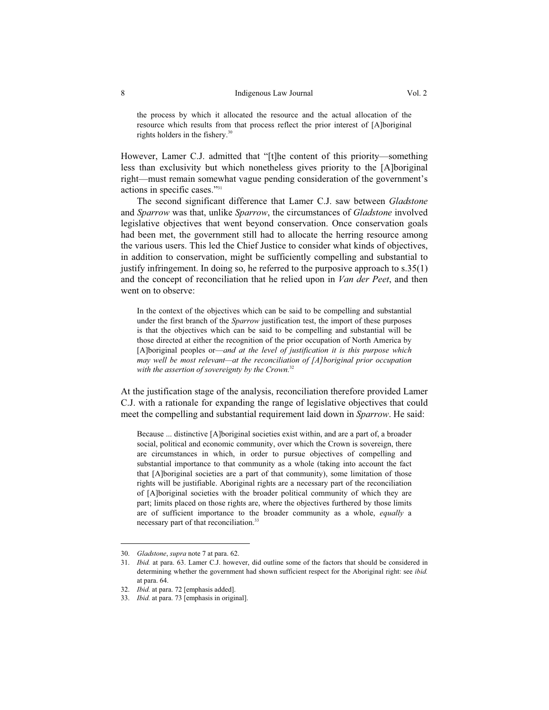the process by which it allocated the resource and the actual allocation of the resource which results from that process reflect the prior interest of [A]boriginal rights holders in the fishery.<sup>30</sup>

However, Lamer C.J. admitted that "[t]he content of this priority—something less than exclusivity but which nonetheless gives priority to the [A]boriginal right—must remain somewhat vague pending consideration of the government's actions in specific cases."31

 The second significant difference that Lamer C.J. saw between *Gladstone* and *Sparrow* was that, unlike *Sparrow*, the circumstances of *Gladstone* involved legislative objectives that went beyond conservation. Once conservation goals had been met, the government still had to allocate the herring resource among the various users. This led the Chief Justice to consider what kinds of objectives, in addition to conservation, might be sufficiently compelling and substantial to justify infringement. In doing so, he referred to the purposive approach to s.35(1) and the concept of reconciliation that he relied upon in *Van der Peet*, and then went on to observe:

In the context of the objectives which can be said to be compelling and substantial under the first branch of the *Sparrow* justification test, the import of these purposes is that the objectives which can be said to be compelling and substantial will be those directed at either the recognition of the prior occupation of North America by [A]boriginal peoples or—*and at the level of justification it is this purpose which may well be most relevant—at the reconciliation of [A]boriginal prior occupation with the assertion of sovereignty by the Crown.*<sup>32</sup>

At the justification stage of the analysis, reconciliation therefore provided Lamer C.J. with a rationale for expanding the range of legislative objectives that could meet the compelling and substantial requirement laid down in *Sparrow*. He said:

Because ... distinctive [A]boriginal societies exist within, and are a part of, a broader social, political and economic community, over which the Crown is sovereign, there are circumstances in which, in order to pursue objectives of compelling and substantial importance to that community as a whole (taking into account the fact that [A]boriginal societies are a part of that community), some limitation of those rights will be justifiable. Aboriginal rights are a necessary part of the reconciliation of [A]boriginal societies with the broader political community of which they are part; limits placed on those rights are, where the objectives furthered by those limits are of sufficient importance to the broader community as a whole, *equally* a necessary part of that reconciliation.<sup>33</sup>

<sup>30.</sup> *Gladstone*, *supra* note 7 at para. 62.

<sup>31.</sup> *Ibid.* at para. 63. Lamer C.J. however, did outline some of the factors that should be considered in determining whether the government had shown sufficient respect for the Aboriginal right: see *ibid.* at para. 64.

<sup>32.</sup> *Ibid.* at para. 72 [emphasis added].

<sup>33.</sup> *Ibid.* at para. 73 [emphasis in original].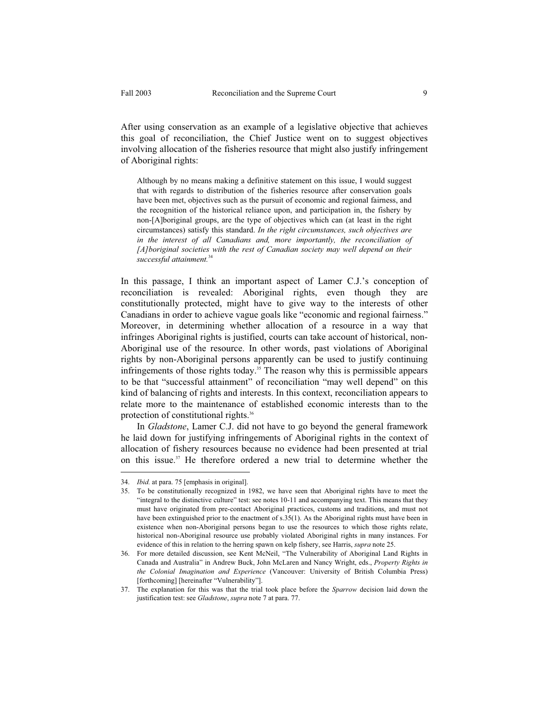After using conservation as an example of a legislative objective that achieves this goal of reconciliation, the Chief Justice went on to suggest objectives involving allocation of the fisheries resource that might also justify infringement of Aboriginal rights:

Although by no means making a definitive statement on this issue, I would suggest that with regards to distribution of the fisheries resource after conservation goals have been met, objectives such as the pursuit of economic and regional fairness, and the recognition of the historical reliance upon, and participation in, the fishery by non-[A]boriginal groups, are the type of objectives which can (at least in the right circumstances) satisfy this standard. *In the right circumstances, such objectives are*  in the interest of all Canadians and, more importantly, the reconciliation of *[A]boriginal societies with the rest of Canadian society may well depend on their successful attainment.*<sup>34</sup>

In this passage, I think an important aspect of Lamer C.J.'s conception of reconciliation is revealed: Aboriginal rights, even though they are constitutionally protected, might have to give way to the interests of other Canadians in order to achieve vague goals like "economic and regional fairness." Moreover, in determining whether allocation of a resource in a way that infringes Aboriginal rights is justified, courts can take account of historical, non-Aboriginal use of the resource. In other words, past violations of Aboriginal rights by non-Aboriginal persons apparently can be used to justify continuing infringements of those rights today.<sup>35</sup> The reason why this is permissible appears to be that "successful attainment" of reconciliation "may well depend" on this kind of balancing of rights and interests. In this context, reconciliation appears to relate more to the maintenance of established economic interests than to the protection of constitutional rights.36

 In *Gladstone*, Lamer C.J. did not have to go beyond the general framework he laid down for justifying infringements of Aboriginal rights in the context of allocation of fishery resources because no evidence had been presented at trial on this issue.37 He therefore ordered a new trial to determine whether the

<sup>34.</sup> *Ibid.* at para. 75 [emphasis in original].

<sup>35.</sup> To be constitutionally recognized in 1982, we have seen that Aboriginal rights have to meet the "integral to the distinctive culture" test: see notes 10-11 and accompanying text. This means that they must have originated from pre-contact Aboriginal practices, customs and traditions, and must not have been extinguished prior to the enactment of s.35(1). As the Aboriginal rights must have been in existence when non-Aboriginal persons began to use the resources to which those rights relate, historical non-Aboriginal resource use probably violated Aboriginal rights in many instances. For evidence of this in relation to the herring spawn on kelp fishery, see Harris, *supra* note 25.

<sup>36.</sup> For more detailed discussion, see Kent McNeil, "The Vulnerability of Aboriginal Land Rights in Canada and Australia" in Andrew Buck, John McLaren and Nancy Wright, eds., *Property Rights in the Colonial Imagination and Experience* (Vancouver: University of British Columbia Press) [forthcoming] [hereinafter "Vulnerability"].

<sup>37.</sup> The explanation for this was that the trial took place before the *Sparrow* decision laid down the justification test: see *Gladstone*, *supra* note 7 at para. 77.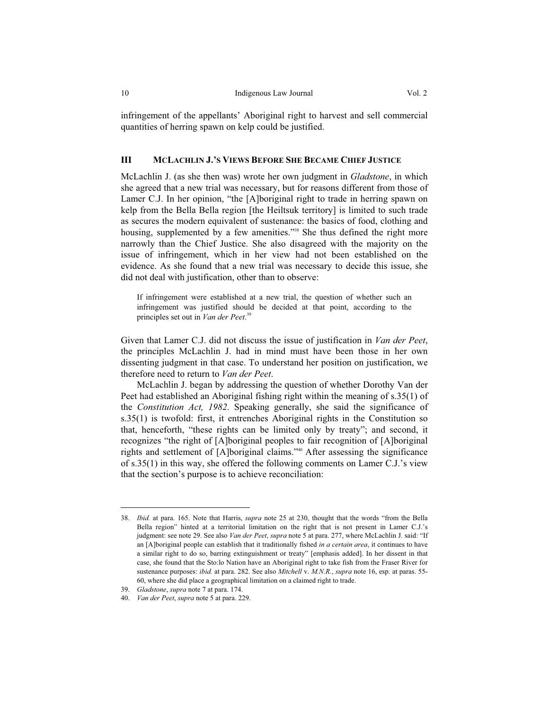infringement of the appellants' Aboriginal right to harvest and sell commercial quantities of herring spawn on kelp could be justified.

### **III MCLACHLIN J.'S VIEWS BEFORE SHE BECAME CHIEF JUSTICE**

McLachlin J. (as she then was) wrote her own judgment in *Gladstone*, in which she agreed that a new trial was necessary, but for reasons different from those of Lamer C.J. In her opinion, "the [A]boriginal right to trade in herring spawn on kelp from the Bella Bella region [the Heiltsuk territory] is limited to such trade as secures the modern equivalent of sustenance: the basics of food, clothing and housing, supplemented by a few amenities."<sup>38</sup> She thus defined the right more narrowly than the Chief Justice. She also disagreed with the majority on the issue of infringement, which in her view had not been established on the evidence. As she found that a new trial was necessary to decide this issue, she did not deal with justification, other than to observe:

If infringement were established at a new trial, the question of whether such an infringement was justified should be decided at that point, according to the principles set out in *Van der Peet*. 39

Given that Lamer C.J. did not discuss the issue of justification in *Van der Peet*, the principles McLachlin J. had in mind must have been those in her own dissenting judgment in that case. To understand her position on justification, we therefore need to return to *Van der Peet*.

 McLachlin J. began by addressing the question of whether Dorothy Van der Peet had established an Aboriginal fishing right within the meaning of s.35(1) of the *Constitution Act, 1982*. Speaking generally, she said the significance of s.35(1) is twofold: first, it entrenches Aboriginal rights in the Constitution so that, henceforth, "these rights can be limited only by treaty"; and second, it recognizes "the right of [A]boriginal peoples to fair recognition of [A]boriginal rights and settlement of [A]boriginal claims."40 After assessing the significance of s.35(1) in this way, she offered the following comments on Lamer C.J.'s view that the section's purpose is to achieve reconciliation:

<sup>38.</sup> *Ibid.* at para. 165. Note that Harris, *supra* note 25 at 230, thought that the words "from the Bella Bella region" hinted at a territorial limitation on the right that is not present in Lamer C.J.'s judgment: see note 29. See also *Van der Peet*, *supra* note 5 at para. 277, where McLachlin J. said: "If an [A]boriginal people can establish that it traditionally fished *in a certain area*, it continues to have a similar right to do so, barring extinguishment or treaty" [emphasis added]. In her dissent in that case, she found that the Sto:lo Nation have an Aboriginal right to take fish from the Fraser River for sustenance purposes: *ibid.* at para. 282. See also *Mitchell* v. *M.N.R.*, *supra* note 16, esp. at paras. 55- 60, where she did place a geographical limitation on a claimed right to trade.

<sup>39.</sup> *Gladstone*, *supra* note 7 at para. 174.

<sup>40.</sup> *Van der Peet*, *supra* note 5 at para. 229.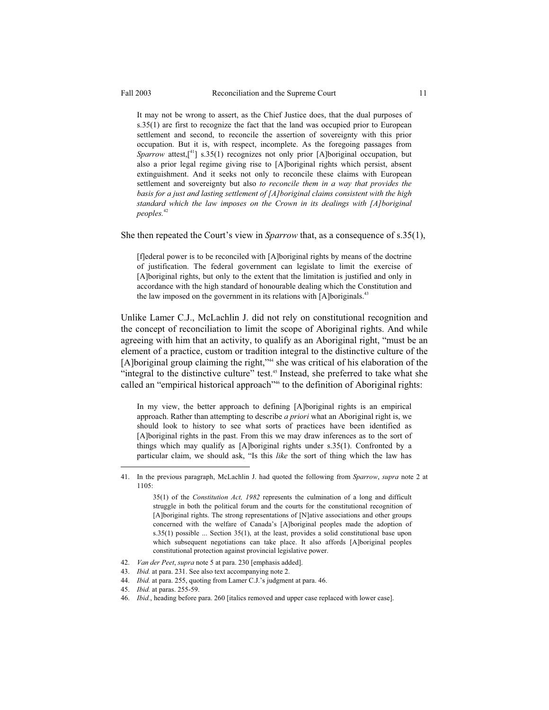It may not be wrong to assert, as the Chief Justice does, that the dual purposes of s.35(1) are first to recognize the fact that the land was occupied prior to European settlement and second, to reconcile the assertion of sovereignty with this prior occupation. But it is, with respect, incomplete. As the foregoing passages from *Sparrow* attest, $\begin{bmatrix} 4 & 1 \\ 1 & 8 \end{bmatrix}$  s.35(1) recognizes not only prior [A]boriginal occupation, but also a prior legal regime giving rise to [A]boriginal rights which persist, absent extinguishment. And it seeks not only to reconcile these claims with European settlement and sovereignty but also *to reconcile them in a way that provides the basis for a just and lasting settlement of [A]boriginal claims consistent with the high standard which the law imposes on the Crown in its dealings with [A]boriginal peoples.*<sup>42</sup>

She then repeated the Court's view in *Sparrow* that, as a consequence of s.35(1),

[f]ederal power is to be reconciled with [A]boriginal rights by means of the doctrine of justification. The federal government can legislate to limit the exercise of [A]boriginal rights, but only to the extent that the limitation is justified and only in accordance with the high standard of honourable dealing which the Constitution and the law imposed on the government in its relations with [A]boriginals.<sup>43</sup>

Unlike Lamer C.J., McLachlin J. did not rely on constitutional recognition and the concept of reconciliation to limit the scope of Aboriginal rights. And while agreeing with him that an activity, to qualify as an Aboriginal right, "must be an element of a practice, custom or tradition integral to the distinctive culture of the [A]boriginal group claiming the right,"<sup>44</sup> she was critical of his elaboration of the "integral to the distinctive culture" test.45 Instead, she preferred to take what she called an "empirical historical approach"<sup>46</sup> to the definition of Aboriginal rights:

In my view, the better approach to defining [A]boriginal rights is an empirical approach. Rather than attempting to describe *a priori* what an Aboriginal right is, we should look to history to see what sorts of practices have been identified as [A]boriginal rights in the past. From this we may draw inferences as to the sort of things which may qualify as [A]boriginal rights under s.35(1). Confronted by a particular claim, we should ask, "Is this *like* the sort of thing which the law has

<sup>41.</sup> In the previous paragraph, McLachlin J. had quoted the following from *Sparrow*, *supra* note 2 at 1105:

 <sup>35(1)</sup> of the *Constitution Act, 1982* represents the culmination of a long and difficult struggle in both the political forum and the courts for the constitutional recognition of [A]boriginal rights. The strong representations of [N]ative associations and other groups concerned with the welfare of Canada's [A]boriginal peoples made the adoption of s.35(1) possible ... Section 35(1), at the least, provides a solid constitutional base upon which subsequent negotiations can take place. It also affords [A]boriginal peoples constitutional protection against provincial legislative power.

<sup>42.</sup> *Van der Peet*, *supra* note 5 at para. 230 [emphasis added].

<sup>43.</sup> *Ibid.* at para. 231. See also text accompanying note 2.

<sup>44.</sup> *Ibid.* at para. 255, quoting from Lamer C.J.'s judgment at para. 46.

<sup>45.</sup> *Ibid.* at paras. 255-59.

<sup>46.</sup> *Ibid.*, heading before para. 260 [italics removed and upper case replaced with lower case].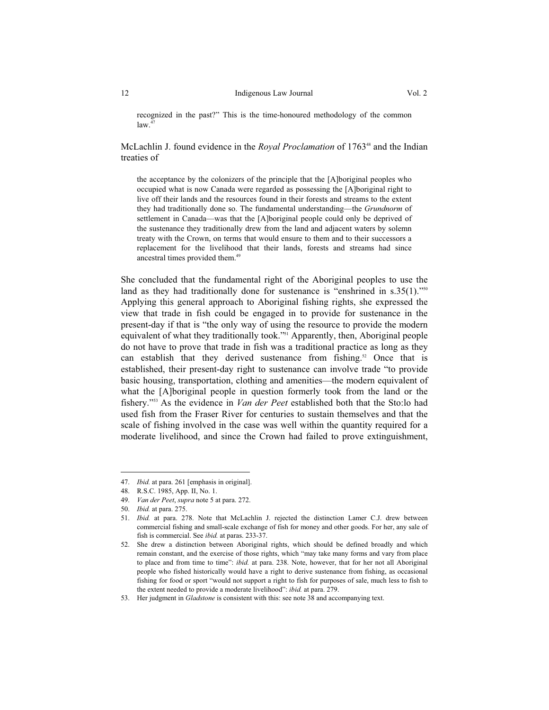recognized in the past?" This is the time-honoured methodology of the common  $law<sup>4</sup>$ 

McLachlin J. found evidence in the *Royal Proclamation* of 1763<sup>48</sup> and the Indian treaties of

the acceptance by the colonizers of the principle that the [A]boriginal peoples who occupied what is now Canada were regarded as possessing the [A]boriginal right to live off their lands and the resources found in their forests and streams to the extent they had traditionally done so. The fundamental understanding—the *Grundnorm* of settlement in Canada—was that the [A]boriginal people could only be deprived of the sustenance they traditionally drew from the land and adjacent waters by solemn treaty with the Crown, on terms that would ensure to them and to their successors a replacement for the livelihood that their lands, forests and streams had since ancestral times provided them.<sup>49</sup>

She concluded that the fundamental right of the Aboriginal peoples to use the land as they had traditionally done for sustenance is "enshrined in s.35(1)."<sup>50</sup> Applying this general approach to Aboriginal fishing rights, she expressed the view that trade in fish could be engaged in to provide for sustenance in the present-day if that is "the only way of using the resource to provide the modern equivalent of what they traditionally took."51 Apparently, then, Aboriginal people do not have to prove that trade in fish was a traditional practice as long as they can establish that they derived sustenance from fishing.<sup>52</sup> Once that is established, their present-day right to sustenance can involve trade "to provide basic housing, transportation, clothing and amenities—the modern equivalent of what the [A]boriginal people in question formerly took from the land or the fishery."53 As the evidence in *Van der Peet* established both that the Sto:lo had used fish from the Fraser River for centuries to sustain themselves and that the scale of fishing involved in the case was well within the quantity required for a moderate livelihood, and since the Crown had failed to prove extinguishment,

<sup>47.</sup> *Ibid.* at para. 261 [emphasis in original].

<sup>48.</sup> R.S.C. 1985, App. II, No. 1.

<sup>49.</sup> *Van der Peet*, *supra* note 5 at para. 272.

<sup>50.</sup> *Ibid.* at para. 275.

<sup>51.</sup> *Ibid.* at para. 278. Note that McLachlin J. rejected the distinction Lamer C.J. drew between commercial fishing and small-scale exchange of fish for money and other goods. For her, any sale of fish is commercial. See *ibid.* at paras. 233-37.

<sup>52.</sup> She drew a distinction between Aboriginal rights, which should be defined broadly and which remain constant, and the exercise of those rights, which "may take many forms and vary from place to place and from time to time": *ibid.* at para. 238. Note, however, that for her not all Aboriginal people who fished historically would have a right to derive sustenance from fishing, as occasional fishing for food or sport "would not support a right to fish for purposes of sale, much less to fish to the extent needed to provide a moderate livelihood": *ibid.* at para. 279.

<sup>53.</sup> Her judgment in *Gladstone* is consistent with this: see note 38 and accompanying text.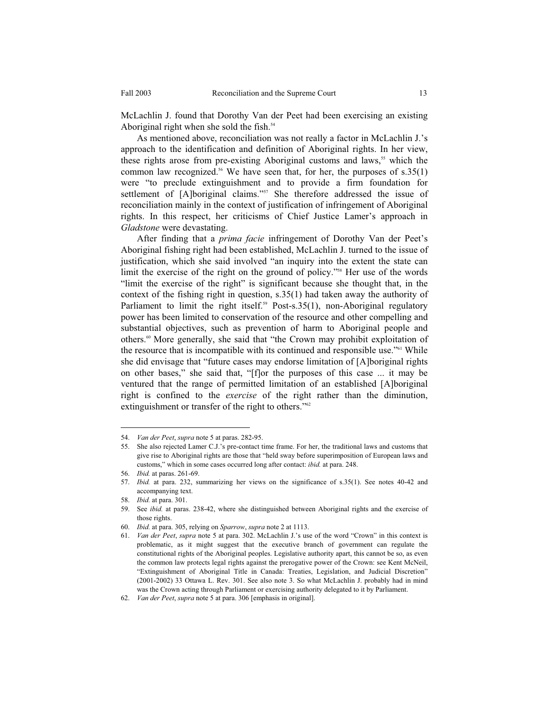McLachlin J. found that Dorothy Van der Peet had been exercising an existing Aboriginal right when she sold the fish.<sup>54</sup>

 As mentioned above, reconciliation was not really a factor in McLachlin J.'s approach to the identification and definition of Aboriginal rights. In her view, these rights arose from pre-existing Aboriginal customs and laws,<sup>55</sup> which the common law recognized.<sup>56</sup> We have seen that, for her, the purposes of  $s.35(1)$ were "to preclude extinguishment and to provide a firm foundation for settlement of [A]boriginal claims."<sup>57</sup> She therefore addressed the issue of reconciliation mainly in the context of justification of infringement of Aboriginal rights. In this respect, her criticisms of Chief Justice Lamer's approach in *Gladstone* were devastating.

 After finding that a *prima facie* infringement of Dorothy Van der Peet's Aboriginal fishing right had been established, McLachlin J. turned to the issue of justification, which she said involved "an inquiry into the extent the state can limit the exercise of the right on the ground of policy."58 Her use of the words "limit the exercise of the right" is significant because she thought that, in the context of the fishing right in question, s.35(1) had taken away the authority of Parliament to limit the right itself.<sup>59</sup> Post-s.35(1), non-Aboriginal regulatory power has been limited to conservation of the resource and other compelling and substantial objectives, such as prevention of harm to Aboriginal people and others.60 More generally, she said that "the Crown may prohibit exploitation of the resource that is incompatible with its continued and responsible use."61 While she did envisage that "future cases may endorse limitation of [A]boriginal rights on other bases," she said that, "[f]or the purposes of this case ... it may be ventured that the range of permitted limitation of an established [A]boriginal right is confined to the *exercise* of the right rather than the diminution, extinguishment or transfer of the right to others."<sup>62</sup>

<sup>54.</sup> *Van der Peet*, *supra* note 5 at paras. 282-95.

<sup>55.</sup> She also rejected Lamer C.J.'s pre-contact time frame. For her, the traditional laws and customs that give rise to Aboriginal rights are those that "held sway before superimposition of European laws and customs," which in some cases occurred long after contact: *ibid.* at para. 248.

<sup>56.</sup> *Ibid.* at paras. 261-69.

<sup>57.</sup> *Ibid.* at para. 232, summarizing her views on the significance of s.35(1). See notes 40-42 and accompanying text.

<sup>58.</sup> *Ibid.* at para. 301.

<sup>59.</sup> See *ibid.* at paras. 238-42, where she distinguished between Aboriginal rights and the exercise of those rights.

<sup>60.</sup> *Ibid.* at para. 305, relying on *Sparrow*, *supra* note 2 at 1113.

<sup>61.</sup> *Van der Peet*, *supra* note 5 at para. 302. McLachlin J.'s use of the word "Crown" in this context is problematic, as it might suggest that the executive branch of government can regulate the constitutional rights of the Aboriginal peoples. Legislative authority apart, this cannot be so, as even the common law protects legal rights against the prerogative power of the Crown: see Kent McNeil, "Extinguishment of Aboriginal Title in Canada: Treaties, Legislation, and Judicial Discretion" (2001-2002) 33 Ottawa L. Rev. 301. See also note 3. So what McLachlin J. probably had in mind was the Crown acting through Parliament or exercising authority delegated to it by Parliament.

<sup>62.</sup> *Van der Peet*, *supra* note 5 at para. 306 [emphasis in original].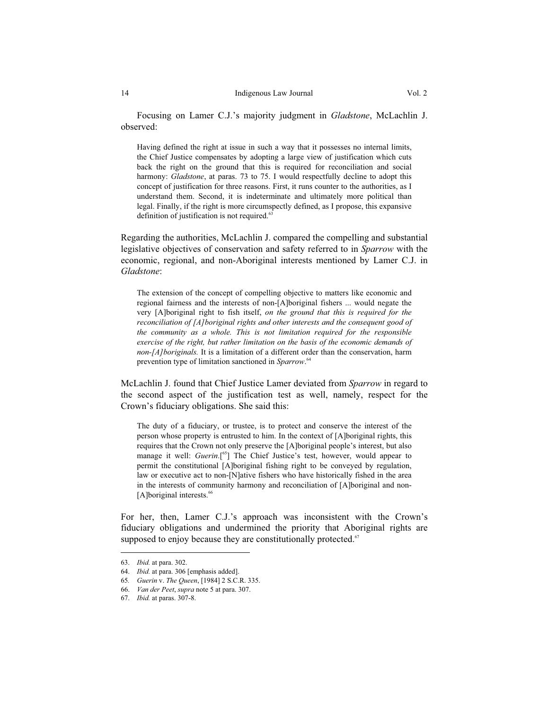Having defined the right at issue in such a way that it possesses no internal limits, the Chief Justice compensates by adopting a large view of justification which cuts back the right on the ground that this is required for reconciliation and social harmony: *Gladstone*, at paras. 73 to 75. I would respectfully decline to adopt this concept of justification for three reasons. First, it runs counter to the authorities, as I understand them. Second, it is indeterminate and ultimately more political than legal. Finally, if the right is more circumspectly defined, as I propose, this expansive definition of justification is not required.<sup>63</sup>

Regarding the authorities, McLachlin J. compared the compelling and substantial legislative objectives of conservation and safety referred to in *Sparrow* with the economic, regional, and non-Aboriginal interests mentioned by Lamer C.J. in *Gladstone*:

The extension of the concept of compelling objective to matters like economic and regional fairness and the interests of non-[A]boriginal fishers ... would negate the very [A]boriginal right to fish itself, *on the ground that this is required for the reconciliation of [A]boriginal rights and other interests and the consequent good of the community as a whole. This is not limitation required for the responsible exercise of the right, but rather limitation on the basis of the economic demands of non-[A]boriginals.* It is a limitation of a different order than the conservation, harm prevention type of limitation sanctioned in *Sparrow*. 64

McLachlin J. found that Chief Justice Lamer deviated from *Sparrow* in regard to the second aspect of the justification test as well, namely, respect for the Crown's fiduciary obligations. She said this:

The duty of a fiduciary, or trustee, is to protect and conserve the interest of the person whose property is entrusted to him. In the context of [A]boriginal rights, this requires that the Crown not only preserve the [A]boriginal people's interest, but also manage it well: *Guerin*.<sup>[65</sup>] The Chief Justice's test, however, would appear to permit the constitutional [A]boriginal fishing right to be conveyed by regulation, law or executive act to non-[N]ative fishers who have historically fished in the area in the interests of community harmony and reconciliation of [A]boriginal and non- [A]boriginal interests.<sup>66</sup>

For her, then, Lamer C.J.'s approach was inconsistent with the Crown's fiduciary obligations and undermined the priority that Aboriginal rights are supposed to enjoy because they are constitutionally protected. $67$ 

<sup>63.</sup> *Ibid.* at para. 302.

<sup>64.</sup> *Ibid.* at para. 306 [emphasis added].

<sup>65</sup>*. Guerin* v. *The Queen*, [1984] 2 S.C.R. 335.

<sup>66.</sup> *Van der Peet*, *supra* note 5 at para. 307.

<sup>67.</sup> *Ibid.* at paras. 307-8.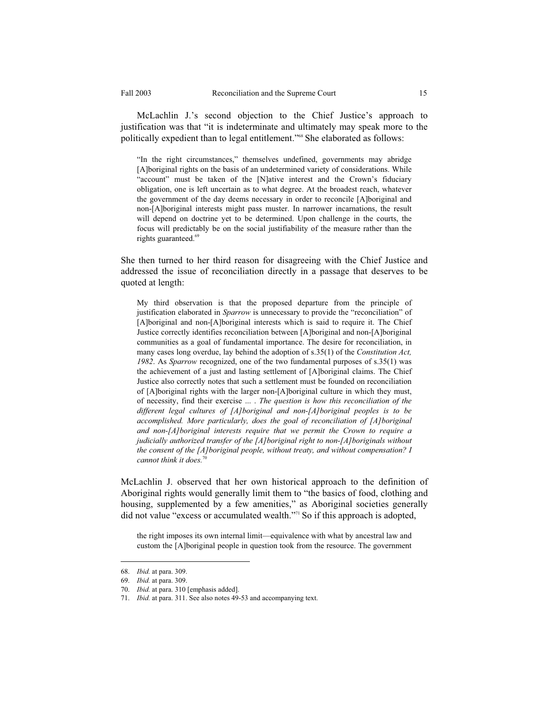McLachlin J.'s second objection to the Chief Justice's approach to justification was that "it is indeterminate and ultimately may speak more to the politically expedient than to legal entitlement."<sup>68</sup> She elaborated as follows:

"In the right circumstances," themselves undefined, governments may abridge [A]boriginal rights on the basis of an undetermined variety of considerations. While "account" must be taken of the [N]ative interest and the Crown's fiduciary obligation, one is left uncertain as to what degree. At the broadest reach, whatever the government of the day deems necessary in order to reconcile [A]boriginal and non-[A]boriginal interests might pass muster. In narrower incarnations, the result will depend on doctrine yet to be determined. Upon challenge in the courts, the focus will predictably be on the social justifiability of the measure rather than the rights guaranteed.<sup>69</sup>

She then turned to her third reason for disagreeing with the Chief Justice and addressed the issue of reconciliation directly in a passage that deserves to be quoted at length:

My third observation is that the proposed departure from the principle of justification elaborated in *Sparrow* is unnecessary to provide the "reconciliation" of [A]boriginal and non-[A]boriginal interests which is said to require it. The Chief Justice correctly identifies reconciliation between [A]boriginal and non-[A]boriginal communities as a goal of fundamental importance. The desire for reconciliation, in many cases long overdue, lay behind the adoption of s.35(1) of the *Constitution Act, 1982*. As *Sparrow* recognized, one of the two fundamental purposes of s.35(1) was the achievement of a just and lasting settlement of [A]boriginal claims. The Chief Justice also correctly notes that such a settlement must be founded on reconciliation of [A]boriginal rights with the larger non-[A]boriginal culture in which they must, of necessity, find their exercise ... . *The question is how this reconciliation of the different legal cultures of [A]boriginal and non-[A]boriginal peoples is to be accomplished. More particularly, does the goal of reconciliation of [A]boriginal and non-[A]boriginal interests require that we permit the Crown to require a judicially authorized transfer of the [A]boriginal right to non-[A]boriginals without the consent of the [A]boriginal people, without treaty, and without compensation? I cannot think it does.*<sup>7</sup>

McLachlin J. observed that her own historical approach to the definition of Aboriginal rights would generally limit them to "the basics of food, clothing and housing, supplemented by a few amenities," as Aboriginal societies generally did not value "excess or accumulated wealth."71 So if this approach is adopted,

the right imposes its own internal limit—equivalence with what by ancestral law and custom the [A]boriginal people in question took from the resource. The government

<sup>68.</sup> *Ibid.* at para. 309.

<sup>69.</sup> *Ibid.* at para. 309.

<sup>70.</sup> *Ibid.* at para. 310 [emphasis added].

<sup>71.</sup> *Ibid.* at para. 311. See also notes 49-53 and accompanying text.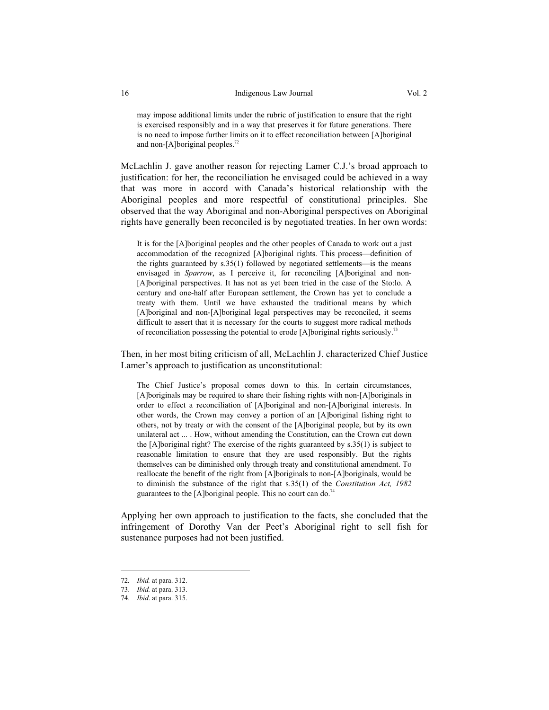may impose additional limits under the rubric of justification to ensure that the right is exercised responsibly and in a way that preserves it for future generations. There is no need to impose further limits on it to effect reconciliation between [A]boriginal and non- $[A]$ boriginal peoples.<sup>72</sup>

McLachlin J. gave another reason for rejecting Lamer C.J.'s broad approach to justification: for her, the reconciliation he envisaged could be achieved in a way that was more in accord with Canada's historical relationship with the Aboriginal peoples and more respectful of constitutional principles. She observed that the way Aboriginal and non-Aboriginal perspectives on Aboriginal rights have generally been reconciled is by negotiated treaties. In her own words:

It is for the [A]boriginal peoples and the other peoples of Canada to work out a just accommodation of the recognized [A]boriginal rights. This process—definition of the rights guaranteed by s.35(1) followed by negotiated settlements—is the means envisaged in *Sparrow*, as I perceive it, for reconciling [A]boriginal and non-[A]boriginal perspectives. It has not as yet been tried in the case of the Sto:lo. A century and one-half after European settlement, the Crown has yet to conclude a treaty with them. Until we have exhausted the traditional means by which [A]boriginal and non-[A]boriginal legal perspectives may be reconciled, it seems difficult to assert that it is necessary for the courts to suggest more radical methods of reconciliation possessing the potential to erode [A]boriginal rights seriously.73

Then, in her most biting criticism of all, McLachlin J. characterized Chief Justice Lamer's approach to justification as unconstitutional:

The Chief Justice's proposal comes down to this. In certain circumstances, [A]boriginals may be required to share their fishing rights with non-[A]boriginals in order to effect a reconciliation of [A]boriginal and non-[A]boriginal interests. In other words, the Crown may convey a portion of an [A]boriginal fishing right to others, not by treaty or with the consent of the [A]boriginal people, but by its own unilateral act ... . How, without amending the Constitution, can the Crown cut down the [A]boriginal right? The exercise of the rights guaranteed by s.35(1) is subject to reasonable limitation to ensure that they are used responsibly. But the rights themselves can be diminished only through treaty and constitutional amendment. To reallocate the benefit of the right from [A]boriginals to non-[A]boriginals, would be to diminish the substance of the right that s.35(1) of the *Constitution Act, 1982* guarantees to the [A]boriginal people. This no court can do.<sup>74</sup>

Applying her own approach to justification to the facts, she concluded that the infringement of Dorothy Van der Peet's Aboriginal right to sell fish for sustenance purposes had not been justified.

<sup>72</sup>*. Ibid.* at para. 312.

<sup>73.</sup> *Ibid.* at para. 313.

<sup>74.</sup> *Ibid*. at para. 315.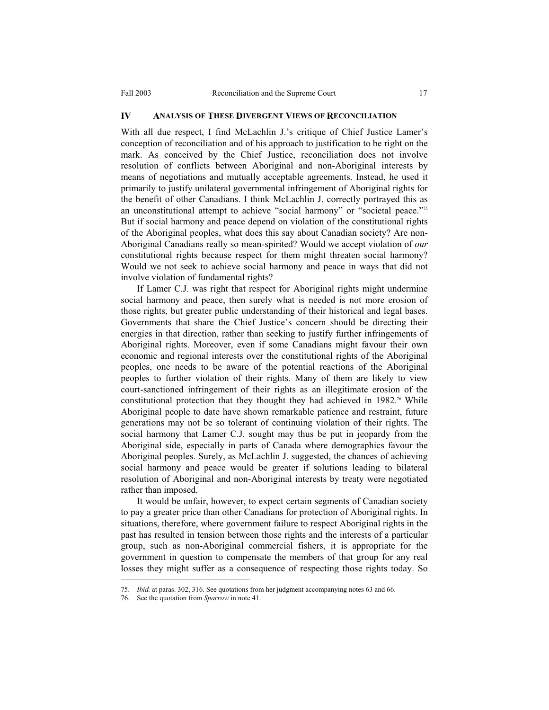#### **IV ANALYSIS OF THESE DIVERGENT VIEWS OF RECONCILIATION**

With all due respect, I find McLachlin J.'s critique of Chief Justice Lamer's conception of reconciliation and of his approach to justification to be right on the mark. As conceived by the Chief Justice, reconciliation does not involve resolution of conflicts between Aboriginal and non-Aboriginal interests by means of negotiations and mutually acceptable agreements. Instead, he used it primarily to justify unilateral governmental infringement of Aboriginal rights for the benefit of other Canadians. I think McLachlin J. correctly portrayed this as an unconstitutional attempt to achieve "social harmony" or "societal peace."<sup>75</sup> But if social harmony and peace depend on violation of the constitutional rights of the Aboriginal peoples, what does this say about Canadian society? Are non-Aboriginal Canadians really so mean-spirited? Would we accept violation of *our* constitutional rights because respect for them might threaten social harmony? Would we not seek to achieve social harmony and peace in ways that did not involve violation of fundamental rights?

 If Lamer C.J. was right that respect for Aboriginal rights might undermine social harmony and peace, then surely what is needed is not more erosion of those rights, but greater public understanding of their historical and legal bases. Governments that share the Chief Justice's concern should be directing their energies in that direction, rather than seeking to justify further infringements of Aboriginal rights. Moreover, even if some Canadians might favour their own economic and regional interests over the constitutional rights of the Aboriginal peoples, one needs to be aware of the potential reactions of the Aboriginal peoples to further violation of their rights. Many of them are likely to view court-sanctioned infringement of their rights as an illegitimate erosion of the constitutional protection that they thought they had achieved in 1982.<sup>76</sup> While Aboriginal people to date have shown remarkable patience and restraint, future generations may not be so tolerant of continuing violation of their rights. The social harmony that Lamer C.J. sought may thus be put in jeopardy from the Aboriginal side, especially in parts of Canada where demographics favour the Aboriginal peoples. Surely, as McLachlin J. suggested, the chances of achieving social harmony and peace would be greater if solutions leading to bilateral resolution of Aboriginal and non-Aboriginal interests by treaty were negotiated rather than imposed.

 It would be unfair, however, to expect certain segments of Canadian society to pay a greater price than other Canadians for protection of Aboriginal rights. In situations, therefore, where government failure to respect Aboriginal rights in the past has resulted in tension between those rights and the interests of a particular group, such as non-Aboriginal commercial fishers, it is appropriate for the government in question to compensate the members of that group for any real losses they might suffer as a consequence of respecting those rights today. So

<sup>75.</sup> *Ibid.* at paras. 302, 316. See quotations from her judgment accompanying notes 63 and 66.

<sup>76.</sup> See the quotation from *Sparrow* in note 41.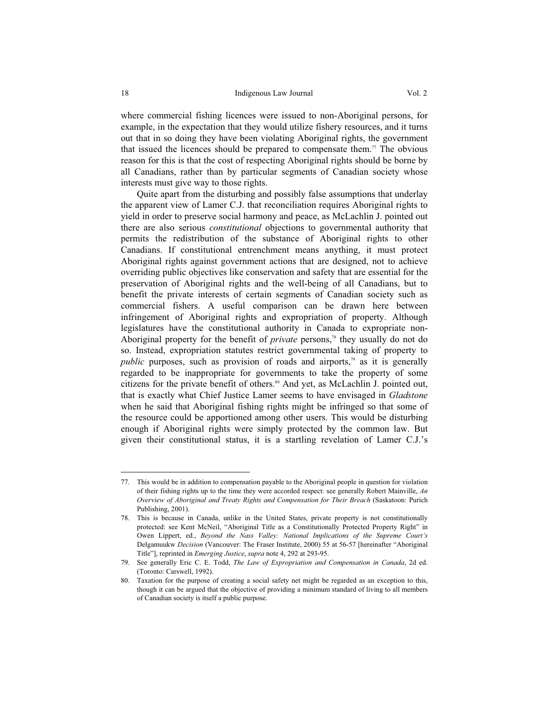where commercial fishing licences were issued to non-Aboriginal persons, for example, in the expectation that they would utilize fishery resources, and it turns out that in so doing they have been violating Aboriginal rights, the government that issued the licences should be prepared to compensate them.<sup>77</sup> The obvious reason for this is that the cost of respecting Aboriginal rights should be borne by all Canadians, rather than by particular segments of Canadian society whose interests must give way to those rights.

 Quite apart from the disturbing and possibly false assumptions that underlay the apparent view of Lamer C.J. that reconciliation requires Aboriginal rights to yield in order to preserve social harmony and peace, as McLachlin J. pointed out there are also serious *constitutional* objections to governmental authority that permits the redistribution of the substance of Aboriginal rights to other Canadians. If constitutional entrenchment means anything, it must protect Aboriginal rights against government actions that are designed, not to achieve overriding public objectives like conservation and safety that are essential for the preservation of Aboriginal rights and the well-being of all Canadians, but to benefit the private interests of certain segments of Canadian society such as commercial fishers. A useful comparison can be drawn here between infringement of Aboriginal rights and expropriation of property. Although legislatures have the constitutional authority in Canada to expropriate non-Aboriginal property for the benefit of *private* persons,<sup>78</sup> they usually do not do so. Instead, expropriation statutes restrict governmental taking of property to *public* purposes, such as provision of roads and airports,<sup> $79$ </sup> as it is generally regarded to be inappropriate for governments to take the property of some citizens for the private benefit of others.<sup>80</sup> And yet, as McLachlin J. pointed out, that is exactly what Chief Justice Lamer seems to have envisaged in *Gladstone* when he said that Aboriginal fishing rights might be infringed so that some of the resource could be apportioned among other users. This would be disturbing enough if Aboriginal rights were simply protected by the common law. But given their constitutional status, it is a startling revelation of Lamer C.J.'s

<sup>77.</sup> This would be in addition to compensation payable to the Aboriginal people in question for violation of their fishing rights up to the time they were accorded respect: see generally Robert Mainville, *An Overview of Aboriginal and Treaty Rights and Compensation for Their Breach* (Saskatoon: Purich Publishing, 2001).

<sup>78.</sup> This is because in Canada, unlike in the United States, private property is not constitutionally protected: see Kent McNeil, "Aboriginal Title as a Constitutionally Protected Property Right" in Owen Lippert, ed., *Beyond the Nass Valley: National Implications of the Supreme Court's*  Delgamuukw *Decision* (Vancouver: The Fraser Institute, 2000) 55 at 56-57 [hereinafter "Aboriginal Title"], reprinted in *Emerging Justice*, *supra* note 4, 292 at 293-95.

<sup>79.</sup> See generally Eric C. E. Todd, *The Law of Expropriation and Compensation in Canada*, 2d ed. (Toronto: Carswell, 1992).

<sup>80.</sup> Taxation for the purpose of creating a social safety net might be regarded as an exception to this, though it can be argued that the objective of providing a minimum standard of living to all members of Canadian society is itself a public purpose.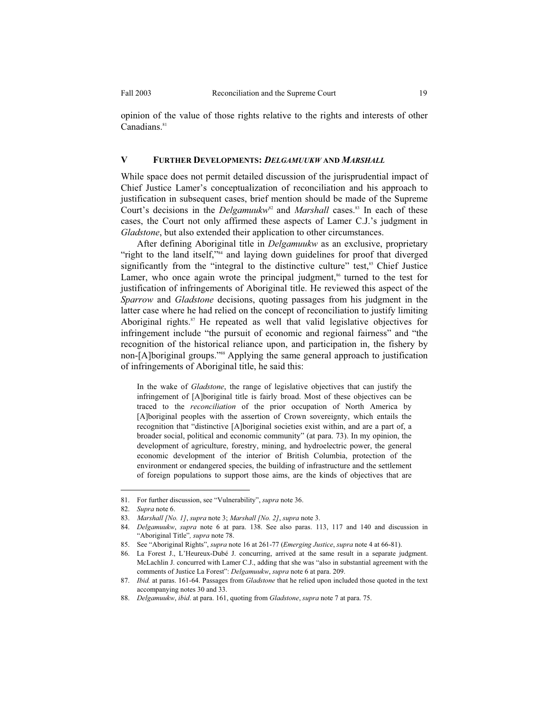opinion of the value of those rights relative to the rights and interests of other Canadians.<sup>81</sup>

### **V FURTHER DEVELOPMENTS:** *DELGAMUUKW* **AND** *MARSHALL*

While space does not permit detailed discussion of the jurisprudential impact of Chief Justice Lamer's conceptualization of reconciliation and his approach to justification in subsequent cases, brief mention should be made of the Supreme Court's decisions in the *Delgamuukw*<sup>82</sup> and *Marshall* cases.<sup>83</sup> In each of these cases, the Court not only affirmed these aspects of Lamer C.J.'s judgment in *Gladstone*, but also extended their application to other circumstances.

 After defining Aboriginal title in *Delgamuukw* as an exclusive, proprietary "right to the land itself,"<sup>84</sup> and laying down guidelines for proof that diverged significantly from the "integral to the distinctive culture" test,<sup>85</sup> Chief Justice Lamer, who once again wrote the principal judgment, $\alpha$ <sup>66</sup> turned to the test for justification of infringements of Aboriginal title. He reviewed this aspect of the *Sparrow* and *Gladstone* decisions, quoting passages from his judgment in the latter case where he had relied on the concept of reconciliation to justify limiting Aboriginal rights.<sup>87</sup> He repeated as well that valid legislative objectives for infringement include "the pursuit of economic and regional fairness" and "the recognition of the historical reliance upon, and participation in, the fishery by non-[A]boriginal groups."88 Applying the same general approach to justification of infringements of Aboriginal title, he said this:

In the wake of *Gladstone*, the range of legislative objectives that can justify the infringement of [A]boriginal title is fairly broad. Most of these objectives can be traced to the *reconciliation* of the prior occupation of North America by [A]boriginal peoples with the assertion of Crown sovereignty, which entails the recognition that "distinctive [A]boriginal societies exist within, and are a part of, a broader social, political and economic community" (at para. 73). In my opinion, the development of agriculture, forestry, mining, and hydroelectric power, the general economic development of the interior of British Columbia, protection of the environment or endangered species, the building of infrastructure and the settlement of foreign populations to support those aims, are the kinds of objectives that are

<sup>81.</sup> For further discussion, see "Vulnerability", *supra* note 36.

<sup>82.</sup> *Supra* note 6.

<sup>83.</sup> *Marshall [No. 1]*, *supra* note 3; *Marshall [No. 2]*, *supra* note 3.

<sup>84.</sup> *Delgamuukw*, *supra* note 6 at para. 138. See also paras. 113, 117 and 140 and discussion in "Aboriginal Title"*, supra* note 78.

<sup>85.</sup> See "Aboriginal Rights", *supra* note 16 at 261-77 (*Emerging Justice*, *supra* note 4 at 66-81).

<sup>86.</sup> La Forest J., L'Heureux-Dubé J. concurring, arrived at the same result in a separate judgment. McLachlin J. concurred with Lamer C.J., adding that she was "also in substantial agreement with the comments of Justice La Forest": *Delgamuukw*, *supra* note 6 at para. 209.

<sup>87.</sup> *Ibid.* at paras. 161-64. Passages from *Gladstone* that he relied upon included those quoted in the text accompanying notes 30 and 33.

<sup>88.</sup> *Delgamuukw*, *ibid*. at para. 161, quoting from *Gladstone*, *supra* note 7 at para. 75.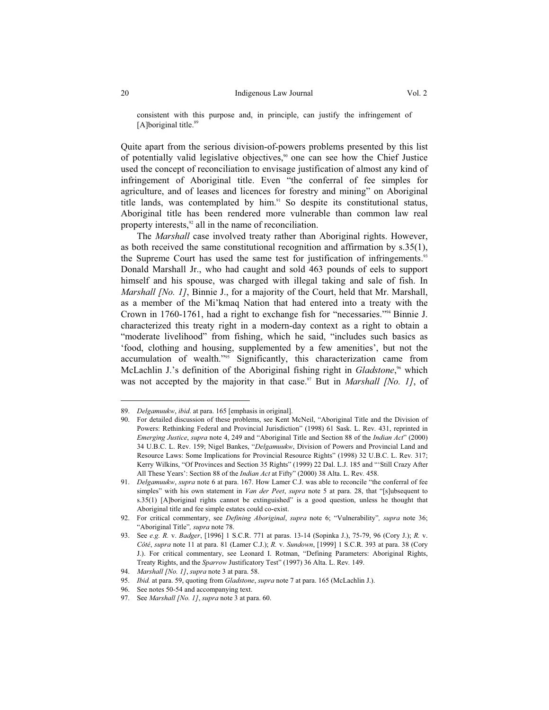consistent with this purpose and, in principle, can justify the infringement of [A]boriginal title. $89$ 

Quite apart from the serious division-of-powers problems presented by this list of potentially valid legislative objectives,<sup>90</sup> one can see how the Chief Justice used the concept of reconciliation to envisage justification of almost any kind of infringement of Aboriginal title. Even "the conferral of fee simples for agriculture, and of leases and licences for forestry and mining" on Aboriginal title lands, was contemplated by him.<sup>91</sup> So despite its constitutional status, Aboriginal title has been rendered more vulnerable than common law real property interests, $92$  all in the name of reconciliation.

 The *Marshall* case involved treaty rather than Aboriginal rights. However, as both received the same constitutional recognition and affirmation by s.35(1), the Supreme Court has used the same test for justification of infringements.<sup>93</sup> Donald Marshall Jr., who had caught and sold 463 pounds of eels to support himself and his spouse, was charged with illegal taking and sale of fish. In *Marshall [No. 1]*, Binnie J., for a majority of the Court, held that Mr. Marshall, as a member of the Mi'kmaq Nation that had entered into a treaty with the Crown in 1760-1761, had a right to exchange fish for "necessaries."94 Binnie J. characterized this treaty right in a modern-day context as a right to obtain a "moderate livelihood" from fishing, which he said, "includes such basics as 'food, clothing and housing, supplemented by a few amenities', but not the accumulation of wealth."95 Significantly, this characterization came from McLachlin J.'s definition of the Aboriginal fishing right in *Gladstone*,<sup>66</sup> which was not accepted by the majority in that case.<sup>97</sup> But in *Marshall [No. 1]*, of

<sup>89.</sup> *Delgamuukw*, *ibid*. at para. 165 [emphasis in original].

<sup>90.</sup> For detailed discussion of these problems, see Kent McNeil, "Aboriginal Title and the Division of Powers: Rethinking Federal and Provincial Jurisdiction" (1998) 61 Sask. L. Rev*.* 431, reprinted in *Emerging Justice*, *supra* note 4, 249 and "Aboriginal Title and Section 88 of the *Indian Act*" (2000) 34 U.B.C. L. Rev. 159; Nigel Bankes, "*Delgamuukw*, Division of Powers and Provincial Land and Resource Laws: Some Implications for Provincial Resource Rights" (1998) 32 U.B.C. L. Rev*.* 317; Kerry Wilkins, "Of Provinces and Section 35 Rights" (1999) 22 Dal. L.J. 185 and "'Still Crazy After All These Years': Section 88 of the *Indian Act* at Fifty" (2000) 38 Alta. L. Rev*.* 458.

<sup>91.</sup> *Delgamuukw*, *supra* note 6 at para. 167. How Lamer C.J. was able to reconcile "the conferral of fee simples" with his own statement in *Van der Peet*, *supra* note 5 at para. 28, that "[s]ubsequent to s.35(1) [A]boriginal rights cannot be extinguished" is a good question, unless he thought that Aboriginal title and fee simple estates could co-exist.

<sup>92.</sup> For critical commentary, see *Defining Aboriginal*, *supra* note 6; "Vulnerability"*, supra* note 36; "Aboriginal Title"*, supra* note 78.

<sup>93.</sup> See *e.g. R.* v. *Badger*, [1996] 1 S.C.R. 771 at paras. 13-14 (Sopinka J.), 75-79, 96 (Cory J.); *R.* v. *Côté*, *supra* note 11 at para. 81 (Lamer C.J.); *R.* v. *Sundown*, [1999] 1 S.C.R. 393 at para. 38 (Cory J.). For critical commentary, see Leonard I. Rotman, "Defining Parameters: Aboriginal Rights, Treaty Rights, and the *Sparrow* Justificatory Test" (1997) 36 Alta. L. Rev*.* 149.

<sup>94.</sup> *Marshall [No. 1]*, *supra* note 3 at para. 58.

<sup>95.</sup> *Ibid.* at para. 59, quoting from *Gladstone*, *supra* note 7 at para. 165 (McLachlin J.).

<sup>96.</sup> See notes 50-54 and accompanying text.

<sup>97.</sup> See *Marshall [No. 1]*, *supra* note 3 at para. 60.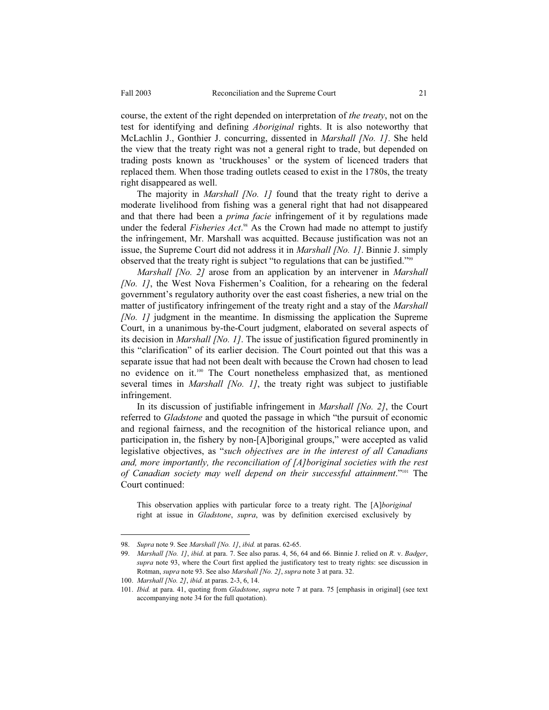course, the extent of the right depended on interpretation of *the treaty*, not on the test for identifying and defining *Aboriginal* rights. It is also noteworthy that McLachlin J., Gonthier J. concurring, dissented in *Marshall [No. 1]*. She held the view that the treaty right was not a general right to trade, but depended on trading posts known as 'truckhouses' or the system of licenced traders that replaced them. When those trading outlets ceased to exist in the 1780s, the treaty right disappeared as well.

 The majority in *Marshall [No. 1]* found that the treaty right to derive a moderate livelihood from fishing was a general right that had not disappeared and that there had been a *prima facie* infringement of it by regulations made under the federal *Fisheries Act*. 98 As the Crown had made no attempt to justify the infringement, Mr. Marshall was acquitted. Because justification was not an issue, the Supreme Court did not address it in *Marshall [No. 1]*. Binnie J. simply observed that the treaty right is subject "to regulations that can be justified."<sup>999</sup>

 *Marshall [No. 2]* arose from an application by an intervener in *Marshall [No. 1]*, the West Nova Fishermen's Coalition, for a rehearing on the federal government's regulatory authority over the east coast fisheries, a new trial on the matter of justificatory infringement of the treaty right and a stay of the *Marshall [No. 1]* judgment in the meantime. In dismissing the application the Supreme Court, in a unanimous by-the-Court judgment, elaborated on several aspects of its decision in *Marshall [No. 1]*. The issue of justification figured prominently in this "clarification" of its earlier decision. The Court pointed out that this was a separate issue that had not been dealt with because the Crown had chosen to lead no evidence on it.100 The Court nonetheless emphasized that, as mentioned several times in *Marshall [No. 1]*, the treaty right was subject to justifiable infringement.

 In its discussion of justifiable infringement in *Marshall [No. 2]*, the Court referred to *Gladstone* and quoted the passage in which "the pursuit of economic and regional fairness, and the recognition of the historical reliance upon, and participation in, the fishery by non-[A]boriginal groups," were accepted as valid legislative objectives, as "*such objectives are in the interest of all Canadians and, more importantly, the reconciliation of [A]boriginal societies with the rest of Canadian society may well depend on their successful attainment*."101 The Court continued:

This observation applies with particular force to a treaty right. The [A]*boriginal* right at issue in *Gladstone*, *supra*, was by definition exercised exclusively by

<sup>98.</sup> *Supra* note 9. See *Marshall [No. 1]*, *ibid.* at paras. 62-65.

<sup>99.</sup> *Marshall [No. 1]*, *ibid*. at para. 7. See also paras. 4, 56, 64 and 66. Binnie J. relied on *R.* v. *Badger*, *supra* note 93, where the Court first applied the justificatory test to treaty rights: see discussion in Rotman, *supra* note 93. See also *Marshall [No. 2]*, *supra* note 3 at para. 32.

<sup>100.</sup> *Marshall [No. 2]*, *ibid*. at paras. 2-3, 6, 14.

<sup>101.</sup> *Ibid.* at para. 41, quoting from *Gladstone*, *supra* note 7 at para. 75 [emphasis in original] (see text accompanying note 34 for the full quotation).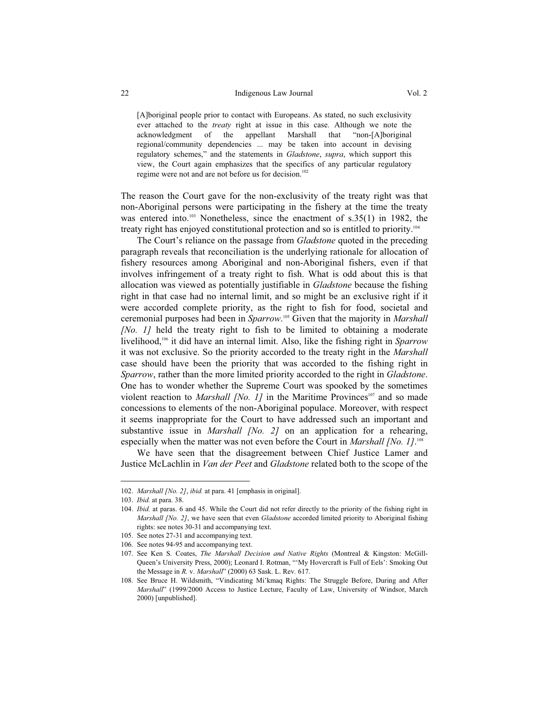#### 22 Indigenous Law Journal Vol. 2

[A]boriginal people prior to contact with Europeans. As stated, no such exclusivity ever attached to the *treaty* right at issue in this case. Although we note the acknowledgment of the appellant Marshall that "non-[A]boriginal regional/community dependencies ... may be taken into account in devising regulatory schemes," and the statements in *Gladstone*, *supra*, which support this view, the Court again emphasizes that the specifics of any particular regulatory regime were not and are not before us for decision.<sup>102</sup>

The reason the Court gave for the non-exclusivity of the treaty right was that non-Aboriginal persons were participating in the fishery at the time the treaty was entered into.<sup>103</sup> Nonetheless, since the enactment of s.35(1) in 1982, the treaty right has enjoyed constitutional protection and so is entitled to priority.104

 The Court's reliance on the passage from *Gladstone* quoted in the preceding paragraph reveals that reconciliation is the underlying rationale for allocation of fishery resources among Aboriginal and non-Aboriginal fishers, even if that involves infringement of a treaty right to fish. What is odd about this is that allocation was viewed as potentially justifiable in *Gladstone* because the fishing right in that case had no internal limit, and so might be an exclusive right if it were accorded complete priority, as the right to fish for food, societal and ceremonial purposes had been in *Sparrow*. 105 Given that the majority in *Marshall [No. 1]* held the treaty right to fish to be limited to obtaining a moderate livelihood,106 it did have an internal limit. Also, like the fishing right in *Sparrow* it was not exclusive. So the priority accorded to the treaty right in the *Marshall* case should have been the priority that was accorded to the fishing right in *Sparrow*, rather than the more limited priority accorded to the right in *Gladstone*. One has to wonder whether the Supreme Court was spooked by the sometimes violent reaction to *Marshall [No. 1]* in the Maritime Provinces<sup>107</sup> and so made concessions to elements of the non-Aboriginal populace. Moreover, with respect it seems inappropriate for the Court to have addressed such an important and substantive issue in *Marshall [No. 2]* on an application for a rehearing, especially when the matter was not even before the Court in *Marshall [No. 1]*.<sup>108</sup>

 We have seen that the disagreement between Chief Justice Lamer and Justice McLachlin in *Van der Peet* and *Gladstone* related both to the scope of the

<sup>102.</sup> *Marshall [No. 2]*, *ibid.* at para. 41 [emphasis in original].

<sup>103.</sup> *Ibid.* at para. 38.

<sup>104.</sup> *Ibid.* at paras. 6 and 45. While the Court did not refer directly to the priority of the fishing right in *Marshall [No. 2]*, we have seen that even *Gladstone* accorded limited priority to Aboriginal fishing rights: see notes 30-31 and accompanying text.

<sup>105.</sup> See notes 27-31 and accompanying text.

<sup>106.</sup> See notes 94-95 and accompanying text.

<sup>107.</sup> See Ken S. Coates, *The Marshall Decision and Native Rights* (Montreal & Kingston: McGill-Queen's University Press, 2000); Leonard I. Rotman, "'My Hovercraft is Full of Eels': Smoking Out the Message in *R.* v. *Marshall*" (2000) 63 Sask. L. Rev*.* 617.

<sup>108.</sup> See Bruce H. Wildsmith, "Vindicating Mi'kmaq Rights: The Struggle Before, During and After *Marshall*" (1999/2000 Access to Justice Lecture, Faculty of Law, University of Windsor, March 2000) [unpublished].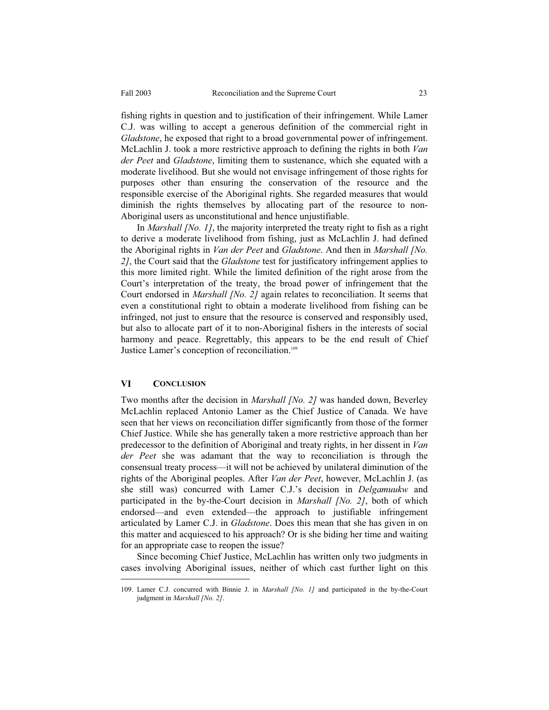fishing rights in question and to justification of their infringement. While Lamer C.J. was willing to accept a generous definition of the commercial right in *Gladstone*, he exposed that right to a broad governmental power of infringement. McLachlin J. took a more restrictive approach to defining the rights in both *Van der Peet* and *Gladstone*, limiting them to sustenance, which she equated with a moderate livelihood. But she would not envisage infringement of those rights for purposes other than ensuring the conservation of the resource and the responsible exercise of the Aboriginal rights. She regarded measures that would diminish the rights themselves by allocating part of the resource to non-Aboriginal users as unconstitutional and hence unjustifiable.

 In *Marshall [No. 1]*, the majority interpreted the treaty right to fish as a right to derive a moderate livelihood from fishing, just as McLachlin J. had defined the Aboriginal rights in *Van der Peet* and *Gladstone*. And then in *Marshall [No. 2]*, the Court said that the *Gladstone* test for justificatory infringement applies to this more limited right. While the limited definition of the right arose from the Court's interpretation of the treaty, the broad power of infringement that the Court endorsed in *Marshall [No. 2]* again relates to reconciliation. It seems that even a constitutional right to obtain a moderate livelihood from fishing can be infringed, not just to ensure that the resource is conserved and responsibly used, but also to allocate part of it to non-Aboriginal fishers in the interests of social harmony and peace. Regrettably, this appears to be the end result of Chief Justice Lamer's conception of reconciliation.<sup>109</sup>

## **VI CONCLUSION**

-

Two months after the decision in *Marshall [No. 2]* was handed down, Beverley McLachlin replaced Antonio Lamer as the Chief Justice of Canada. We have seen that her views on reconciliation differ significantly from those of the former Chief Justice. While she has generally taken a more restrictive approach than her predecessor to the definition of Aboriginal and treaty rights, in her dissent in *Van der Peet* she was adamant that the way to reconciliation is through the consensual treaty process—it will not be achieved by unilateral diminution of the rights of the Aboriginal peoples. After *Van der Peet*, however, McLachlin J. (as she still was) concurred with Lamer C.J.'s decision in *Delgamuukw* and participated in the by-the-Court decision in *Marshall [No. 2]*, both of which endorsed—and even extended—the approach to justifiable infringement articulated by Lamer C.J. in *Gladstone*. Does this mean that she has given in on this matter and acquiesced to his approach? Or is she biding her time and waiting for an appropriate case to reopen the issue?

 Since becoming Chief Justice, McLachlin has written only two judgments in cases involving Aboriginal issues, neither of which cast further light on this

<sup>109.</sup> Lamer C.J. concurred with Binnie J. in *Marshall [No. 1]* and participated in the by-the-Court judgment in *Marshall [No. 2]*.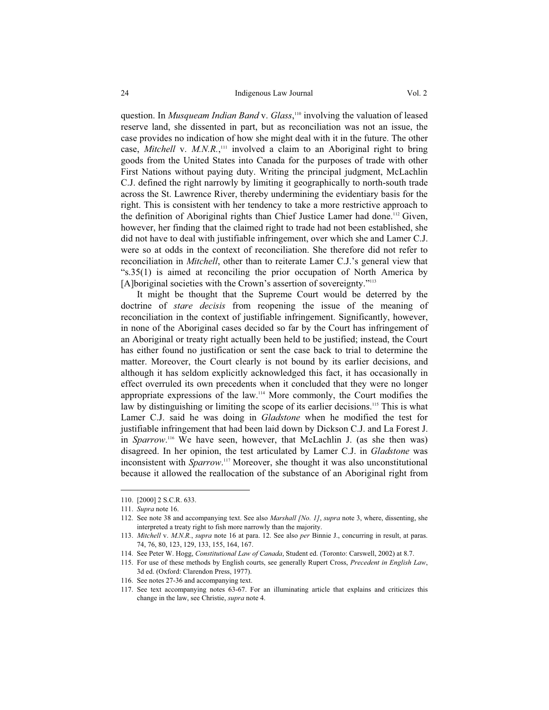#### 24 Indigenous Law Journal Vol. 2

question. In *Musqueam Indian Band* v. *Glass*, 110 involving the valuation of leased reserve land, she dissented in part, but as reconciliation was not an issue, the case provides no indication of how she might deal with it in the future. The other case, *Mitchell* v. *M.N.R.*,<sup>111</sup> involved a claim to an Aboriginal right to bring goods from the United States into Canada for the purposes of trade with other First Nations without paying duty. Writing the principal judgment, McLachlin C.J. defined the right narrowly by limiting it geographically to north-south trade across the St. Lawrence River, thereby undermining the evidentiary basis for the right. This is consistent with her tendency to take a more restrictive approach to the definition of Aboriginal rights than Chief Justice Lamer had done.<sup>112</sup> Given, however, her finding that the claimed right to trade had not been established, she did not have to deal with justifiable infringement, over which she and Lamer C.J. were so at odds in the context of reconciliation. She therefore did not refer to reconciliation in *Mitchell*, other than to reiterate Lamer C.J.'s general view that "s.35(1) is aimed at reconciling the prior occupation of North America by [A]boriginal societies with the Crown's assertion of sovereignty."<sup>113</sup>

 It might be thought that the Supreme Court would be deterred by the doctrine of *stare decisis* from reopening the issue of the meaning of reconciliation in the context of justifiable infringement. Significantly, however, in none of the Aboriginal cases decided so far by the Court has infringement of an Aboriginal or treaty right actually been held to be justified; instead, the Court has either found no justification or sent the case back to trial to determine the matter. Moreover, the Court clearly is not bound by its earlier decisions, and although it has seldom explicitly acknowledged this fact, it has occasionally in effect overruled its own precedents when it concluded that they were no longer appropriate expressions of the law.114 More commonly, the Court modifies the law by distinguishing or limiting the scope of its earlier decisions.<sup>115</sup> This is what Lamer C.J. said he was doing in *Gladstone* when he modified the test for justifiable infringement that had been laid down by Dickson C.J. and La Forest J. in *Sparrow*. <sup>116</sup> We have seen, however, that McLachlin J. (as she then was) disagreed. In her opinion, the test articulated by Lamer C.J. in *Gladstone* was inconsistent with *Sparrow*. <sup>117</sup> Moreover, she thought it was also unconstitutional because it allowed the reallocation of the substance of an Aboriginal right from

<sup>110. [2000] 2</sup> S.C.R. 633.

<sup>111.</sup> *Supra* note 16.

<sup>112.</sup> See note 38 and accompanying text. See also *Marshall [No. 1]*, *supra* note 3, where, dissenting, she interpreted a treaty right to fish more narrowly than the majority.

<sup>113.</sup> *Mitchell* v. *M.N.R.*, *supra* note 16 at para. 12. See also *per* Binnie J., concurring in result, at paras. 74, 76, 80, 123, 129, 133, 155, 164, 167.

<sup>114.</sup> See Peter W. Hogg, *Constitutional Law of Canada*, Student ed. (Toronto: Carswell, 2002) at 8.7.

<sup>115.</sup> For use of these methods by English courts, see generally Rupert Cross, *Precedent in English Law*, 3d ed. (Oxford: Clarendon Press, 1977).

<sup>116.</sup> See notes 27-36 and accompanying text.

<sup>117.</sup> See text accompanying notes 63-67. For an illuminating article that explains and criticizes this change in the law, see Christie, *supra* note 4.